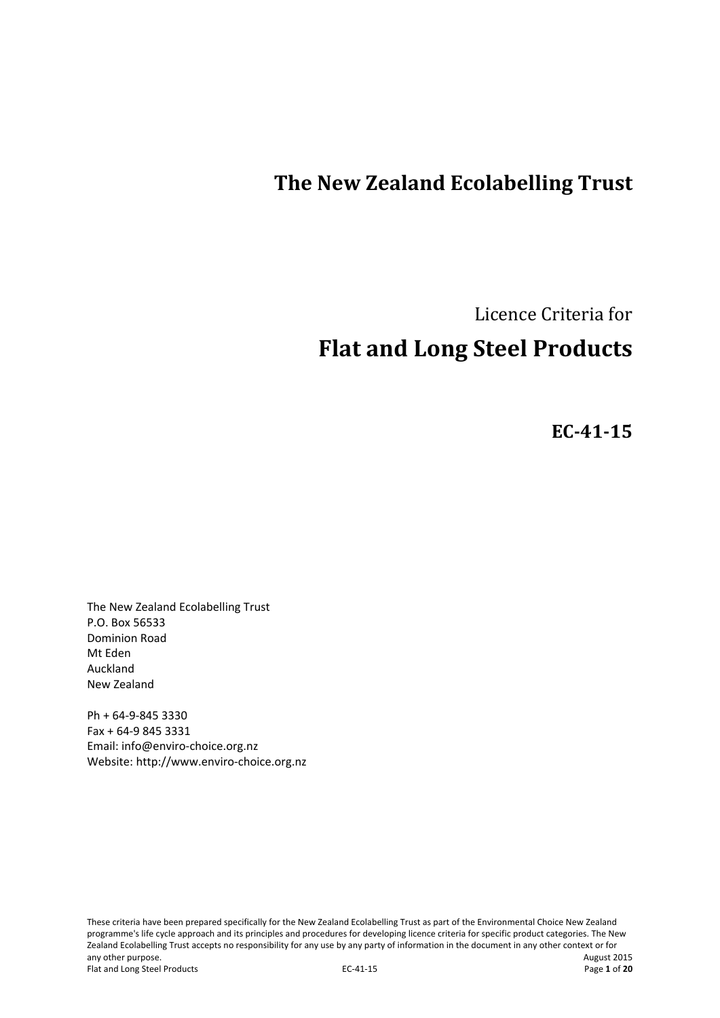# **The New Zealand Ecolabelling Trust**

Licence Criteria for 

# **Flat and Long Steel Products**

**EC‐41‐15**

The New Zealand Ecolabelling Trust P.O. Box 56533 Dominion Road Mt Eden Auckland New Zealand

Ph + 64‐9‐845 3330 Fax + 64‐9 845 3331 Email: info@enviro‐choice.org.nz Website: http://www.enviro‐choice.org.nz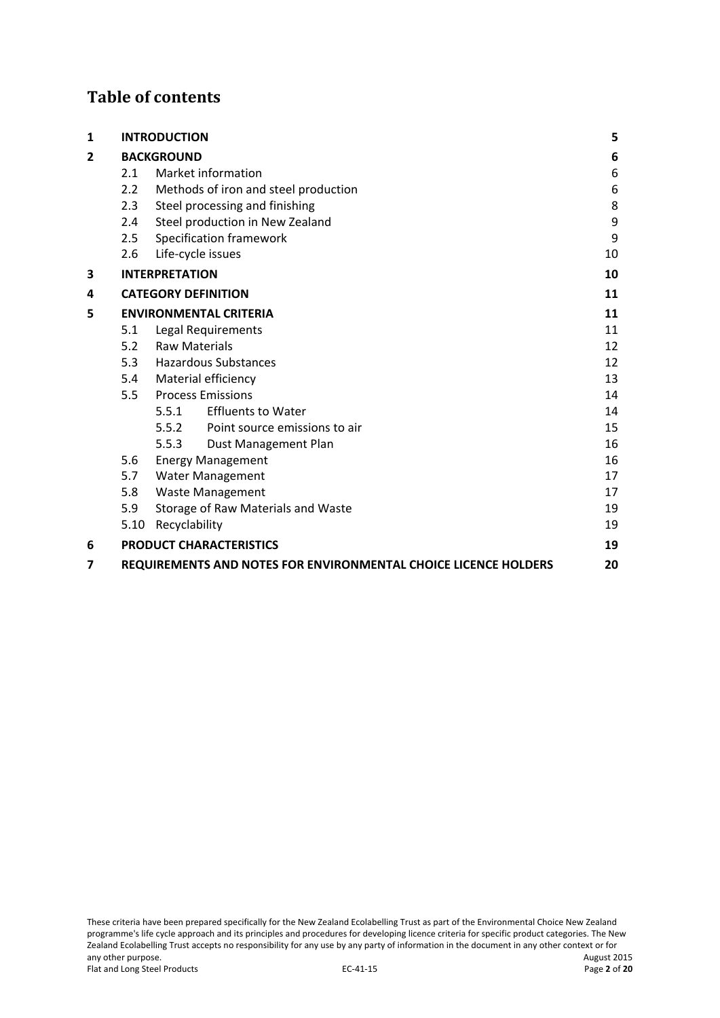# **Table of contents**

| 1              |                                                                       | <b>INTRODUCTION</b>                  |                                      |    |  |
|----------------|-----------------------------------------------------------------------|--------------------------------------|--------------------------------------|----|--|
| $\overline{2}$ | <b>BACKGROUND</b>                                                     |                                      |                                      |    |  |
|                | 2.1                                                                   | Market information                   |                                      |    |  |
|                | 2.2                                                                   |                                      | Methods of iron and steel production | 6  |  |
|                | 2.3                                                                   | Steel processing and finishing       |                                      |    |  |
|                | 2.4                                                                   | Steel production in New Zealand      |                                      |    |  |
|                | 2.5                                                                   | Specification framework              |                                      |    |  |
|                | 2.6                                                                   | Life-cycle issues                    |                                      |    |  |
| 3              | <b>INTERPRETATION</b>                                                 |                                      |                                      |    |  |
| 4              |                                                                       | <b>CATEGORY DEFINITION</b>           |                                      |    |  |
| 5              | <b>ENVIRONMENTAL CRITERIA</b>                                         |                                      |                                      | 11 |  |
|                | 5.1                                                                   | Legal Requirements                   |                                      |    |  |
|                | 5.2                                                                   | <b>Raw Materials</b>                 |                                      |    |  |
|                | 5.3                                                                   | <b>Hazardous Substances</b>          |                                      |    |  |
|                | 5.4                                                                   | Material efficiency                  |                                      |    |  |
|                | 5.5                                                                   | <b>Process Emissions</b>             |                                      |    |  |
|                |                                                                       |                                      | 5.5.1 Effluents to Water             | 14 |  |
|                |                                                                       |                                      | 5.5.2 Point source emissions to air  | 15 |  |
|                |                                                                       | 5.5.3                                | Dust Management Plan                 | 16 |  |
|                | 5.6                                                                   | <b>Energy Management</b>             |                                      |    |  |
|                | 5.7                                                                   | <b>Water Management</b>              |                                      |    |  |
|                | 5.8                                                                   | Waste Management                     |                                      |    |  |
|                | 5.9                                                                   | Storage of Raw Materials and Waste   |                                      |    |  |
|                | 5.10                                                                  | Recyclability                        |                                      |    |  |
| 6              |                                                                       | <b>PRODUCT CHARACTERISTICS</b><br>19 |                                      |    |  |
| 7              | 20<br>REQUIREMENTS AND NOTES FOR ENVIRONMENTAL CHOICE LICENCE HOLDERS |                                      |                                      |    |  |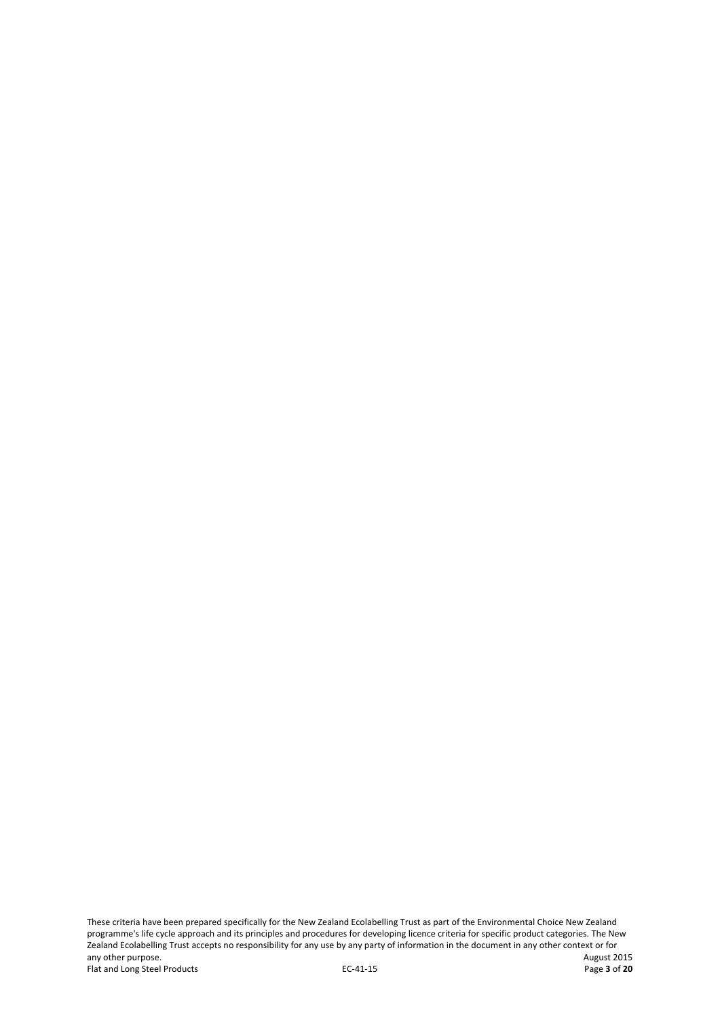These criteria have been prepared specifically for the New Zealand Ecolabelling Trust as part of the Environmental Choice New Zealand programme's life cycle approach and its principles and procedures for developing licence criteria for specific product categories. The New Zealand Ecolabelling Trust accepts no responsibility for any use by any party of information in the document in any other context or for any other purpose. August 2015<br>
Flat and Long Steel Products **C-41-15**<br>
EC-41-15 **EC-41-15** Flat and Long Steel Products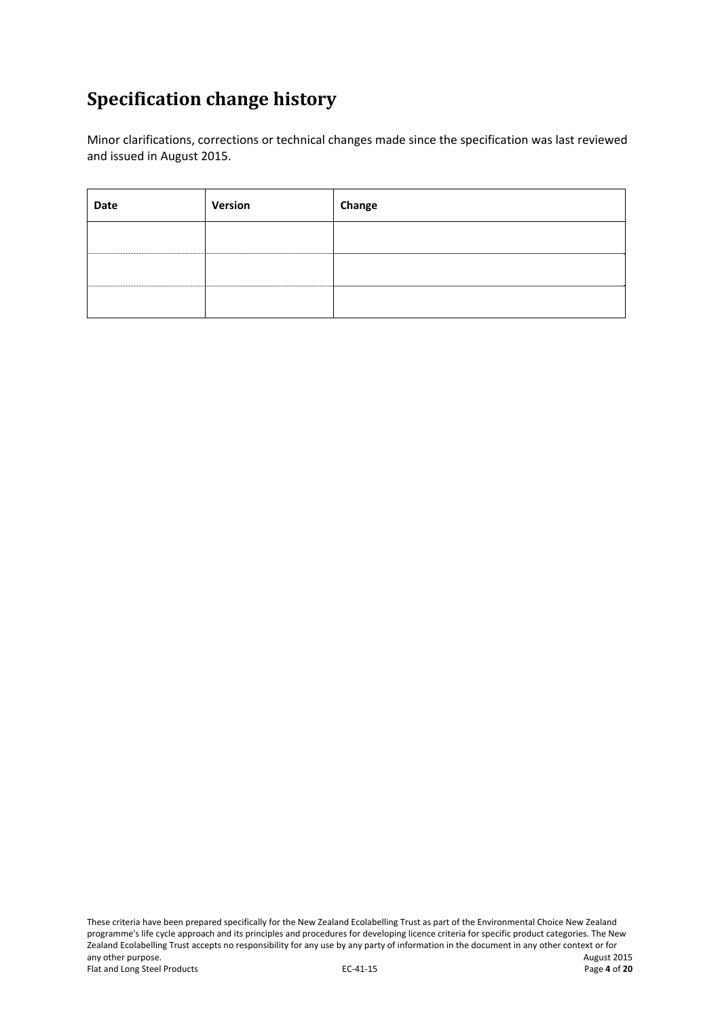# **Specification change history**

Minor clarifications, corrections or technical changes made since the specification was last reviewed and issued in August 2015.

| Date | Version | Change |
|------|---------|--------|
|      |         |        |
|      |         |        |
|      |         |        |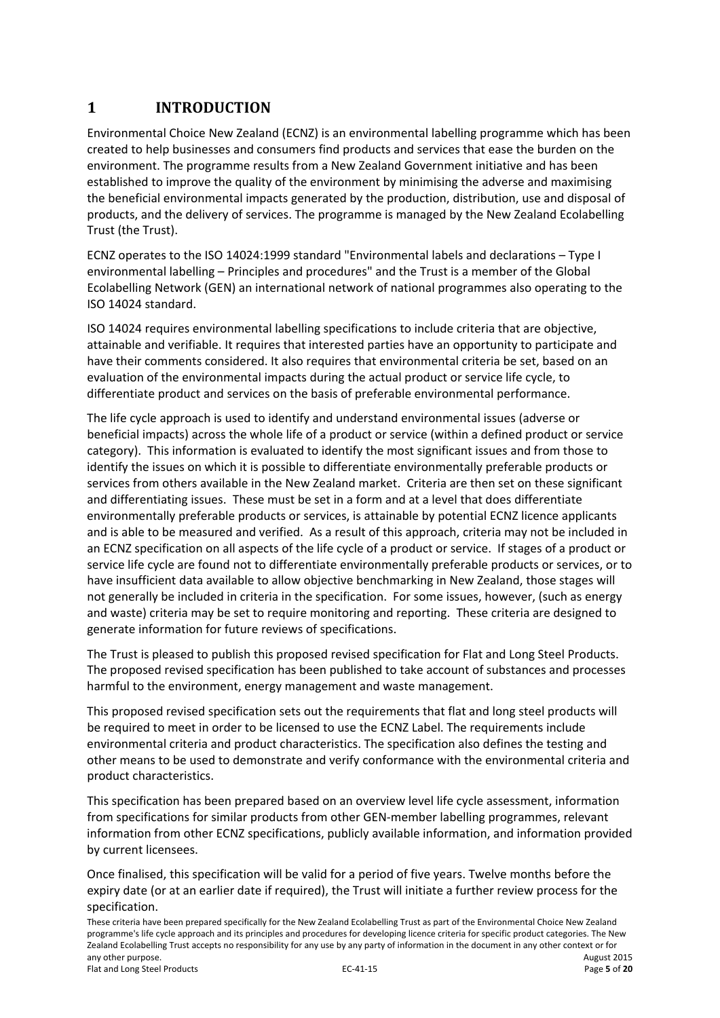# **1 INTRODUCTION**

Environmental Choice New Zealand (ECNZ) is an environmental labelling programme which has been created to help businesses and consumers find products and services that ease the burden on the environment. The programme results from a New Zealand Government initiative and has been established to improve the quality of the environment by minimising the adverse and maximising the beneficial environmental impacts generated by the production, distribution, use and disposal of products, and the delivery of services. The programme is managed by the New Zealand Ecolabelling Trust (the Trust).

ECNZ operates to the ISO 14024:1999 standard "Environmental labels and declarations – Type I environmental labelling – Principles and procedures" and the Trust is a member of the Global Ecolabelling Network (GEN) an international network of national programmes also operating to the ISO 14024 standard.

ISO 14024 requires environmental labelling specifications to include criteria that are objective, attainable and verifiable. It requires that interested parties have an opportunity to participate and have their comments considered. It also requires that environmental criteria be set, based on an evaluation of the environmental impacts during the actual product or service life cycle, to differentiate product and services on the basis of preferable environmental performance.

The life cycle approach is used to identify and understand environmental issues (adverse or beneficial impacts) across the whole life of a product or service (within a defined product or service category). This information is evaluated to identify the most significant issues and from those to identify the issues on which it is possible to differentiate environmentally preferable products or services from others available in the New Zealand market. Criteria are then set on these significant and differentiating issues. These must be set in a form and at a level that does differentiate environmentally preferable products or services, is attainable by potential ECNZ licence applicants and is able to be measured and verified. As a result of this approach, criteria may not be included in an ECNZ specification on all aspects of the life cycle of a product or service. If stages of a product or service life cycle are found not to differentiate environmentally preferable products or services, or to have insufficient data available to allow objective benchmarking in New Zealand, those stages will not generally be included in criteria in the specification. For some issues, however, (such as energy and waste) criteria may be set to require monitoring and reporting. These criteria are designed to generate information for future reviews of specifications.

The Trust is pleased to publish this proposed revised specification for Flat and Long Steel Products. The proposed revised specification has been published to take account of substances and processes harmful to the environment, energy management and waste management.

This proposed revised specification sets out the requirements that flat and long steel products will be required to meet in order to be licensed to use the ECNZ Label. The requirements include environmental criteria and product characteristics. The specification also defines the testing and other means to be used to demonstrate and verify conformance with the environmental criteria and product characteristics.

This specification has been prepared based on an overview level life cycle assessment, information from specifications for similar products from other GEN-member labelling programmes, relevant information from other ECNZ specifications, publicly available information, and information provided by current licensees.

Once finalised, this specification will be valid for a period of five years. Twelve months before the expiry date (or at an earlier date if required), the Trust will initiate a further review process for the specification.

These criteria have been prepared specifically for the New Zealand Ecolabelling Trust as part of the Environmental Choice New Zealand programme's life cycle approach and its principles and procedures for developing licence criteria for specific product categories. The New Zealand Ecolabelling Trust accepts no responsibility for any use by any party of information in the document in any other context or for any other purpose. August 2015 Flat and Long Steel Products EC‐41‐15 Page **5** of **20**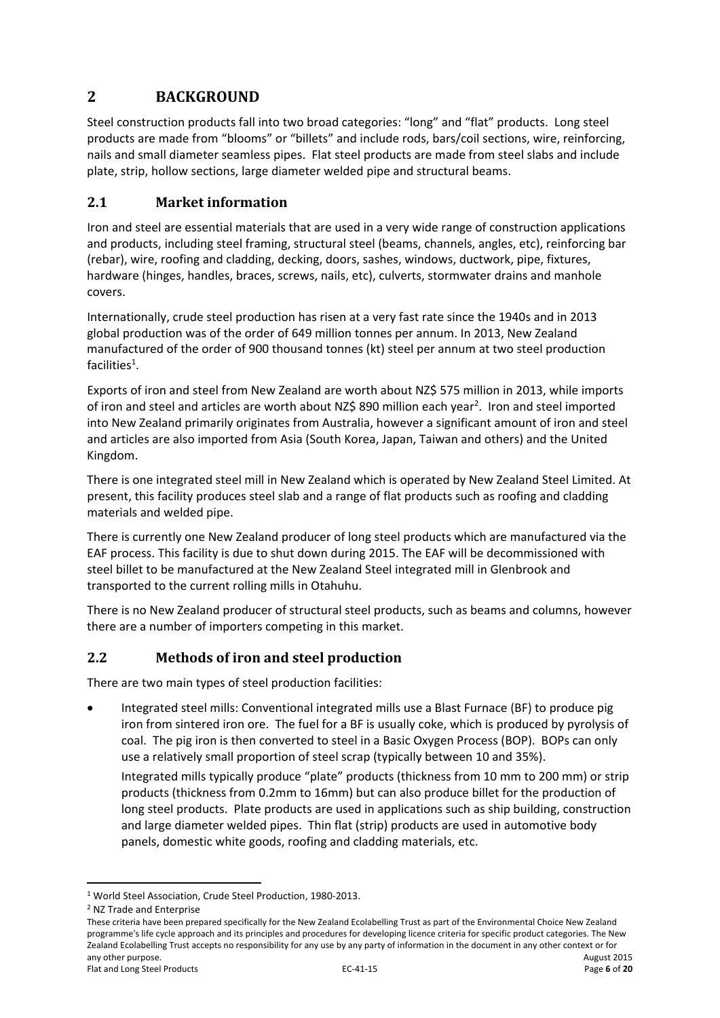# **2 BACKGROUND**

Steel construction products fall into two broad categories: "long" and "flat" products. Long steel products are made from "blooms" or "billets" and include rods, bars/coil sections, wire, reinforcing, nails and small diameter seamless pipes. Flat steel products are made from steel slabs and include plate, strip, hollow sections, large diameter welded pipe and structural beams.

# **2.1 Market information**

Iron and steel are essential materials that are used in a very wide range of construction applications and products, including steel framing, structural steel (beams, channels, angles, etc), reinforcing bar (rebar), wire, roofing and cladding, decking, doors, sashes, windows, ductwork, pipe, fixtures, hardware (hinges, handles, braces, screws, nails, etc), culverts, stormwater drains and manhole covers.

Internationally, crude steel production has risen at a very fast rate since the 1940s and in 2013 global production was of the order of 649 million tonnes per annum. In 2013, New Zealand manufactured of the order of 900 thousand tonnes (kt) steel per annum at two steel production facilities<sup>1</sup>.

Exports of iron and steel from New Zealand are worth about NZ\$ 575 million in 2013, while imports of iron and steel and articles are worth about NZ\$ 890 million each year<sup>2</sup>. Iron and steel imported into New Zealand primarily originates from Australia, however a significant amount of iron and steel and articles are also imported from Asia (South Korea, Japan, Taiwan and others) and the United Kingdom.

There is one integrated steel mill in New Zealand which is operated by New Zealand Steel Limited. At present, this facility produces steel slab and a range of flat products such as roofing and cladding materials and welded pipe.

There is currently one New Zealand producer of long steel products which are manufactured via the EAF process. This facility is due to shut down during 2015. The EAF will be decommissioned with steel billet to be manufactured at the New Zealand Steel integrated mill in Glenbrook and transported to the current rolling mills in Otahuhu.

There is no New Zealand producer of structural steel products, such as beams and columns, however there are a number of importers competing in this market.

# **2.2 Methods of iron and steel production**

There are two main types of steel production facilities:

 Integrated steel mills: Conventional integrated mills use a Blast Furnace (BF) to produce pig iron from sintered iron ore. The fuel for a BF is usually coke, which is produced by pyrolysis of coal. The pig iron is then converted to steel in a Basic Oxygen Process (BOP). BOPs can only use a relatively small proportion of steel scrap (typically between 10 and 35%).

Integrated mills typically produce "plate" products (thickness from 10 mm to 200 mm) or strip products (thickness from 0.2mm to 16mm) but can also produce billet for the production of long steel products. Plate products are used in applications such as ship building, construction and large diameter welded pipes. Thin flat (strip) products are used in automotive body panels, domestic white goods, roofing and cladding materials, etc.

<sup>1</sup> World Steel Association, Crude Steel Production, 1980‐2013.

<sup>2</sup> NZ Trade and Enterprise

These criteria have been prepared specifically for the New Zealand Ecolabelling Trust as part of the Environmental Choice New Zealand programme's life cycle approach and its principles and procedures for developing licence criteria for specific product categories. The New Zealand Ecolabelling Trust accepts no responsibility for any use by any party of information in the document in any other context or for any other purpose. August 2015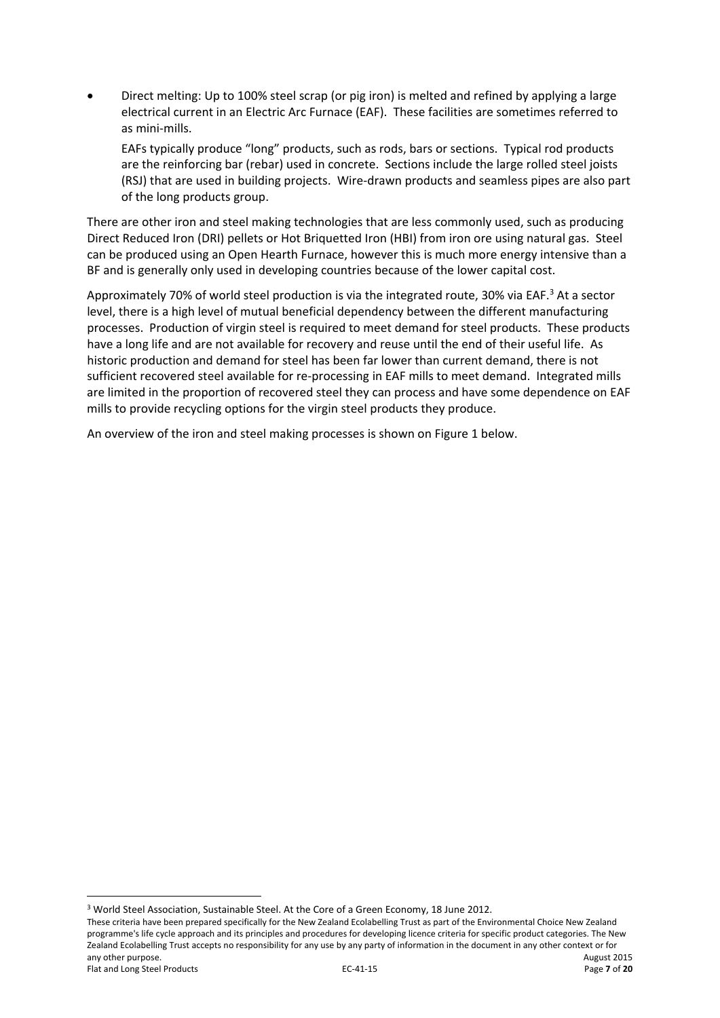Direct melting: Up to 100% steel scrap (or pig iron) is melted and refined by applying a large electrical current in an Electric Arc Furnace (EAF). These facilities are sometimes referred to as mini‐mills.

EAFs typically produce "long" products, such as rods, bars or sections. Typical rod products are the reinforcing bar (rebar) used in concrete. Sections include the large rolled steel joists (RSJ) that are used in building projects. Wire‐drawn products and seamless pipes are also part of the long products group.

There are other iron and steel making technologies that are less commonly used, such as producing Direct Reduced Iron (DRI) pellets or Hot Briquetted Iron (HBI) from iron ore using natural gas. Steel can be produced using an Open Hearth Furnace, however this is much more energy intensive than a BF and is generally only used in developing countries because of the lower capital cost.

Approximately 70% of world steel production is via the integrated route, 30% via EAF. $3$  At a sector level, there is a high level of mutual beneficial dependency between the different manufacturing processes. Production of virgin steel is required to meet demand for steel products. These products have a long life and are not available for recovery and reuse until the end of their useful life. As historic production and demand for steel has been far lower than current demand, there is not sufficient recovered steel available for re-processing in EAF mills to meet demand. Integrated mills are limited in the proportion of recovered steel they can process and have some dependence on EAF mills to provide recycling options for the virgin steel products they produce.

An overview of the iron and steel making processes is shown on Figure 1 below.

<sup>3</sup> World Steel Association, Sustainable Steel. At the Core of a Green Economy, 18 June 2012.

These criteria have been prepared specifically for the New Zealand Ecolabelling Trust as part of the Environmental Choice New Zealand programme's life cycle approach and its principles and procedures for developing licence criteria for specific product categories. The New Zealand Ecolabelling Trust accepts no responsibility for any use by any party of information in the document in any other context or for any other purpose. August 2015 **August 2015 August 2015**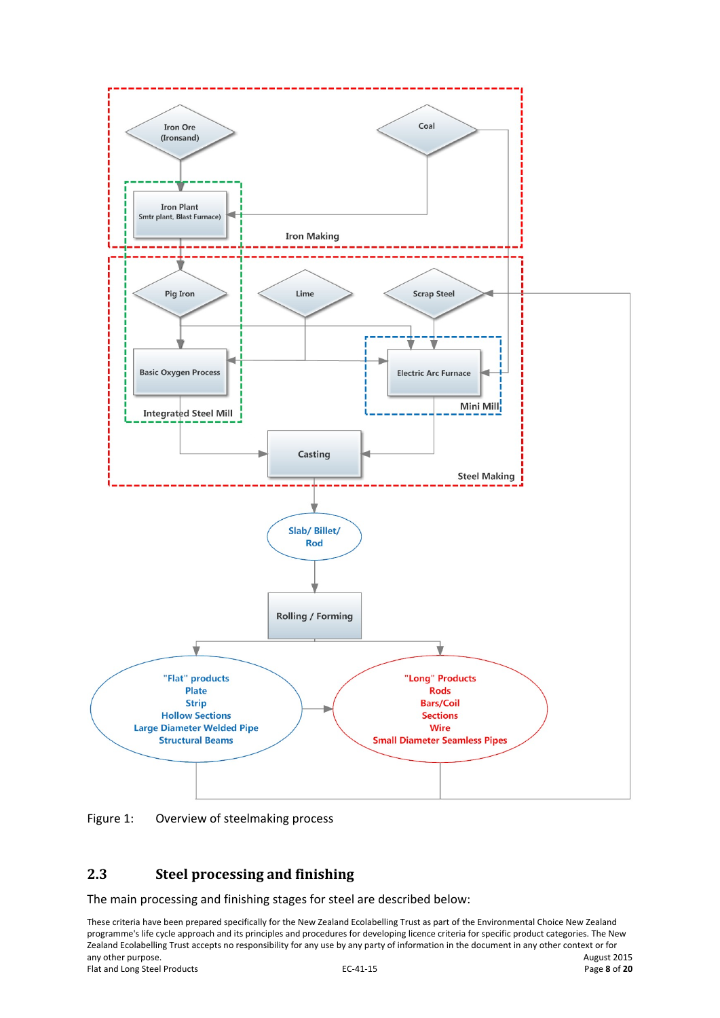



# **2.3 Steel processing and finishing**

The main processing and finishing stages for steel are described below:

These criteria have been prepared specifically for the New Zealand Ecolabelling Trust as part of the Environmental Choice New Zealand programme's life cycle approach and its principles and procedures for developing licence criteria for specific product categories. The New Zealand Ecolabelling Trust accepts no responsibility for any use by any party of information in the document in any other context or for any other purpose.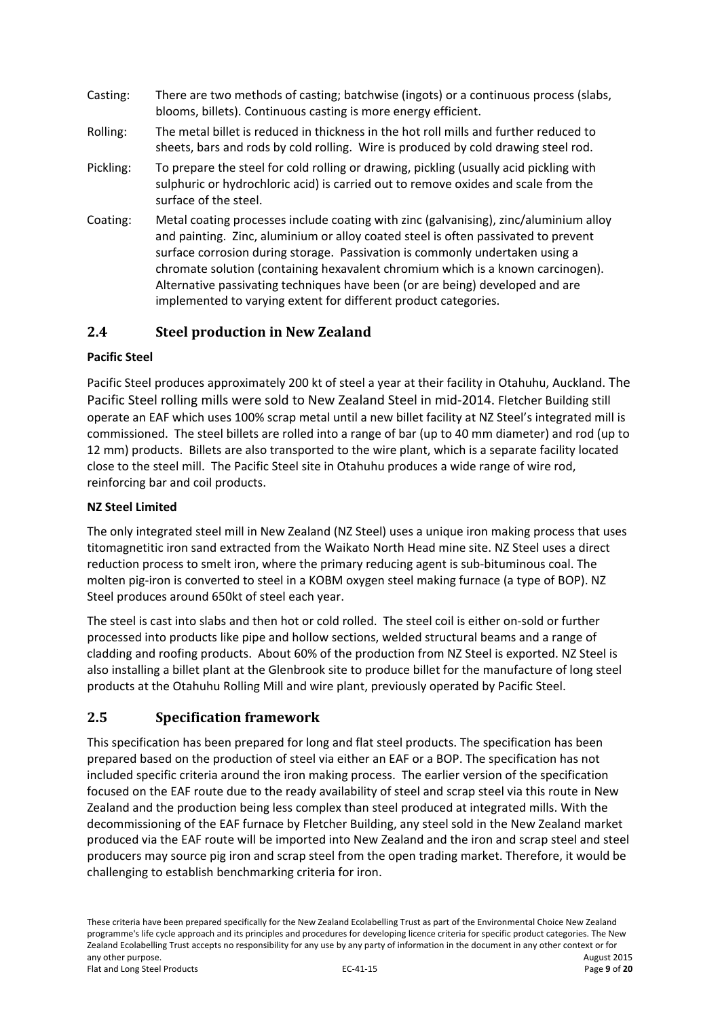- Casting: There are two methods of casting; batchwise (ingots) or a continuous process (slabs, blooms, billets). Continuous casting is more energy efficient.
- Rolling: The metal billet is reduced in thickness in the hot roll mills and further reduced to sheets, bars and rods by cold rolling. Wire is produced by cold drawing steel rod.
- Pickling: To prepare the steel for cold rolling or drawing, pickling (usually acid pickling with sulphuric or hydrochloric acid) is carried out to remove oxides and scale from the surface of the steel.
- Coating: Metal coating processes include coating with zinc (galvanising), zinc/aluminium alloy and painting. Zinc, aluminium or alloy coated steel is often passivated to prevent surface corrosion during storage. Passivation is commonly undertaken using a chromate solution (containing hexavalent chromium which is a known carcinogen). Alternative passivating techniques have been (or are being) developed and are implemented to varying extent for different product categories.

# **2.4 Steel production in New Zealand**

## **Pacific Steel**

Pacific Steel produces approximately 200 kt of steel a year at their facility in Otahuhu, Auckland. The Pacific Steel rolling mills were sold to New Zealand Steel in mid‐2014. Fletcher Building still operate an EAF which uses 100% scrap metal until a new billet facility at NZ Steel's integrated mill is commissioned. The steel billets are rolled into a range of bar (up to 40 mm diameter) and rod (up to 12 mm) products. Billets are also transported to the wire plant, which is a separate facility located close to the steel mill. The Pacific Steel site in Otahuhu produces a wide range of wire rod, reinforcing bar and coil products.

## **NZ Steel Limited**

The only integrated steel mill in New Zealand (NZ Steel) uses a unique iron making process that uses titomagnetitic iron sand extracted from the Waikato North Head mine site. NZ Steel uses a direct reduction process to smelt iron, where the primary reducing agent is sub‐bituminous coal. The molten pig‐iron is converted to steel in a KOBM oxygen steel making furnace (a type of BOP). NZ Steel produces around 650kt of steel each year.

The steel is cast into slabs and then hot or cold rolled. The steel coil is either on‐sold or further processed into products like pipe and hollow sections, welded structural beams and a range of cladding and roofing products. About 60% of the production from NZ Steel is exported. NZ Steel is also installing a billet plant at the Glenbrook site to produce billet for the manufacture of long steel products at the Otahuhu Rolling Mill and wire plant, previously operated by Pacific Steel.

# **2.5 Specification framework**

This specification has been prepared for long and flat steel products. The specification has been prepared based on the production of steel via either an EAF or a BOP. The specification has not included specific criteria around the iron making process. The earlier version of the specification focused on the EAF route due to the ready availability of steel and scrap steel via this route in New Zealand and the production being less complex than steel produced at integrated mills. With the decommissioning of the EAF furnace by Fletcher Building, any steel sold in the New Zealand market produced via the EAF route will be imported into New Zealand and the iron and scrap steel and steel producers may source pig iron and scrap steel from the open trading market. Therefore, it would be challenging to establish benchmarking criteria for iron.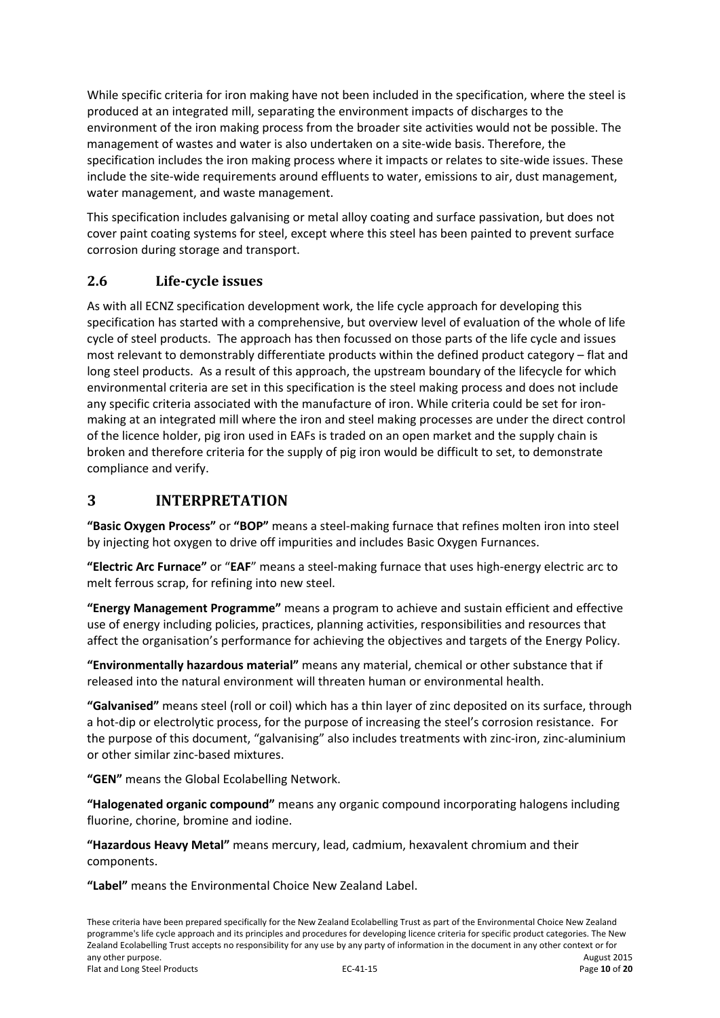While specific criteria for iron making have not been included in the specification, where the steel is produced at an integrated mill, separating the environment impacts of discharges to the environment of the iron making process from the broader site activities would not be possible. The management of wastes and water is also undertaken on a site‐wide basis. Therefore, the specification includes the iron making process where it impacts or relates to site-wide issues. These include the site‐wide requirements around effluents to water, emissions to air, dust management, water management, and waste management.

This specification includes galvanising or metal alloy coating and surface passivation, but does not cover paint coating systems for steel, except where this steel has been painted to prevent surface corrosion during storage and transport.

# **2.6 Life‐cycle issues**

As with all ECNZ specification development work, the life cycle approach for developing this specification has started with a comprehensive, but overview level of evaluation of the whole of life cycle of steel products. The approach has then focussed on those parts of the life cycle and issues most relevant to demonstrably differentiate products within the defined product category – flat and long steel products. As a result of this approach, the upstream boundary of the lifecycle for which environmental criteria are set in this specification is the steel making process and does not include any specific criteria associated with the manufacture of iron. While criteria could be set for ironmaking at an integrated mill where the iron and steel making processes are under the direct control of the licence holder, pig iron used in EAFs is traded on an open market and the supply chain is broken and therefore criteria for the supply of pig iron would be difficult to set, to demonstrate compliance and verify.

# **3 INTERPRETATION**

**"Basic Oxygen Process"** or **"BOP"** means a steel‐making furnace that refines molten iron into steel by injecting hot oxygen to drive off impurities and includes Basic Oxygen Furnances.

**"Electric Arc Furnace"** or "**EAF**" means a steel‐making furnace that uses high‐energy electric arc to melt ferrous scrap, for refining into new steel.

**"Energy Management Programme"** means a program to achieve and sustain efficient and effective use of energy including policies, practices, planning activities, responsibilities and resources that affect the organisation's performance for achieving the objectives and targets of the Energy Policy.

**"Environmentally hazardous material"** means any material, chemical or other substance that if released into the natural environment will threaten human or environmental health.

**"Galvanised"** means steel (roll or coil) which has a thin layer of zinc deposited on its surface, through a hot‐dip or electrolytic process, for the purpose of increasing the steel's corrosion resistance. For the purpose of this document, "galvanising" also includes treatments with zinc-iron, zinc-aluminium or other similar zinc‐based mixtures.

**"GEN"** means the Global Ecolabelling Network.

**"Halogenated organic compound"** means any organic compound incorporating halogens including fluorine, chorine, bromine and iodine.

**"Hazardous Heavy Metal"** means mercury, lead, cadmium, hexavalent chromium and their components.

**"Label"** means the Environmental Choice New Zealand Label.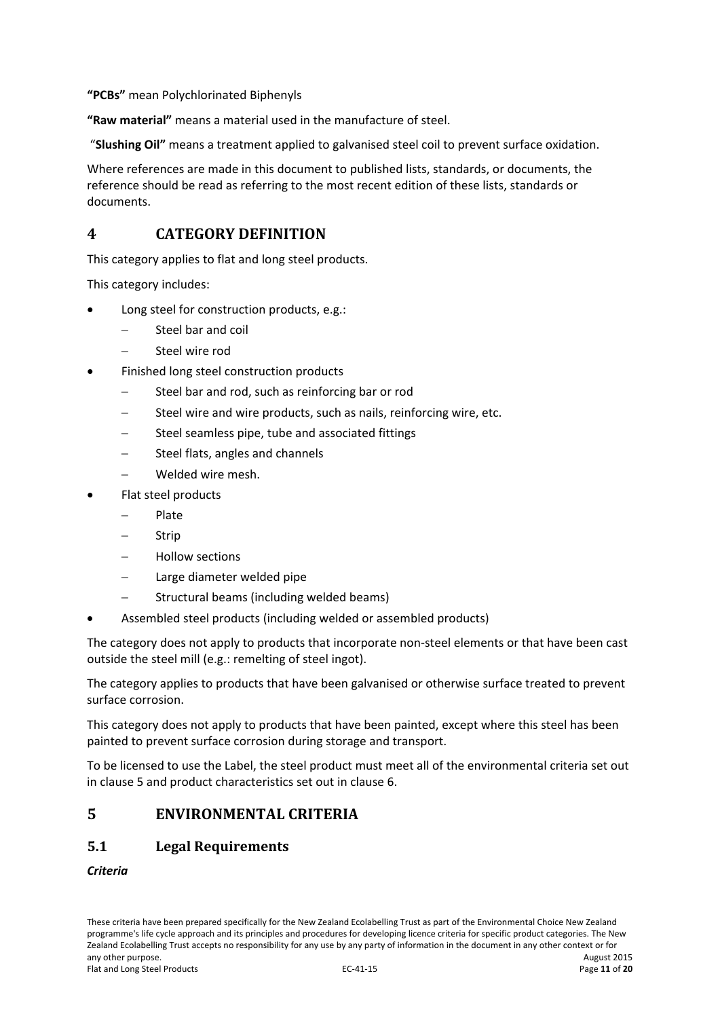**"PCBs"** mean Polychlorinated Biphenyls

**"Raw material"** means a material used in the manufacture of steel.

"**Slushing Oil"** means a treatment applied to galvanised steel coil to prevent surface oxidation.

Where references are made in this document to published lists, standards, or documents, the reference should be read as referring to the most recent edition of these lists, standards or documents.

# **4 CATEGORY DEFINITION**

This category applies to flat and long steel products.

This category includes:

- Long steel for construction products, e.g.:
	- Steel bar and coil
	- Steel wire rod
- Finished long steel construction products
	- Steel bar and rod, such as reinforcing bar or rod
	- Steel wire and wire products, such as nails, reinforcing wire, etc.
	- Steel seamless pipe, tube and associated fittings
	- Steel flats, angles and channels
	- Welded wire mesh.
- Flat steel products
	- Plate
	- Strip
	- Hollow sections
	- Large diameter welded pipe
	- Structural beams (including welded beams)
- Assembled steel products (including welded or assembled products)

The category does not apply to products that incorporate non-steel elements or that have been cast outside the steel mill (e.g.: remelting of steel ingot).

The category applies to products that have been galvanised or otherwise surface treated to prevent surface corrosion.

This category does not apply to products that have been painted, except where this steel has been painted to prevent surface corrosion during storage and transport.

To be licensed to use the Label, the steel product must meet all of the environmental criteria set out in clause 5 and product characteristics set out in clause 6.

# **5 ENVIRONMENTAL CRITERIA**

### **5.1 Legal Requirements**

#### *Criteria*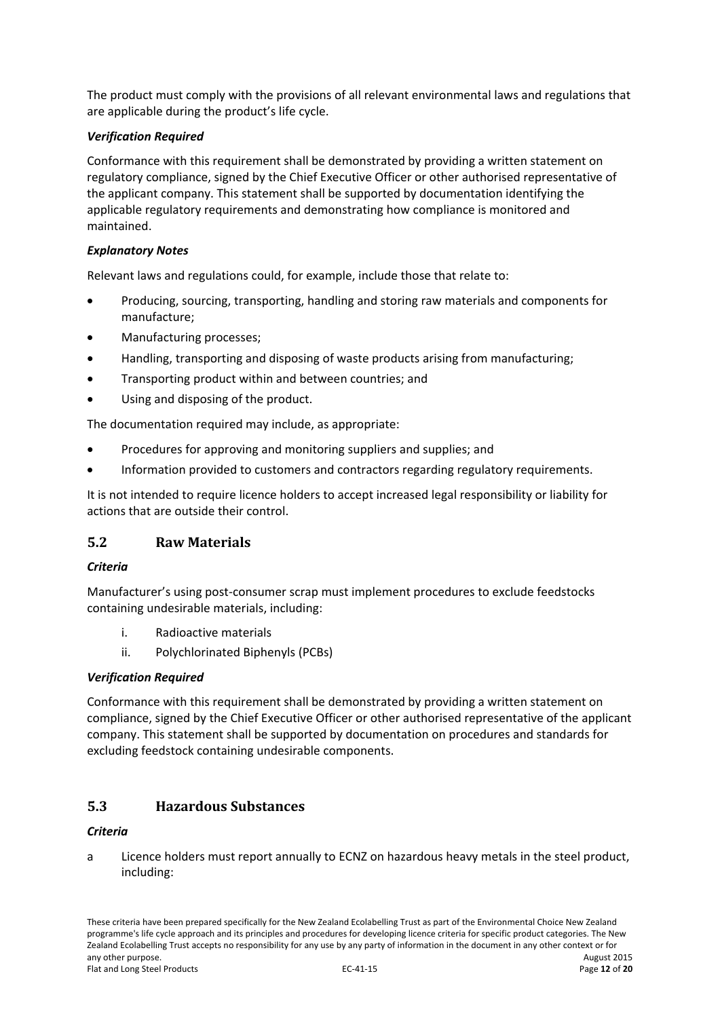The product must comply with the provisions of all relevant environmental laws and regulations that are applicable during the product's life cycle.

#### *Verification Required*

Conformance with this requirement shall be demonstrated by providing a written statement on regulatory compliance, signed by the Chief Executive Officer or other authorised representative of the applicant company. This statement shall be supported by documentation identifying the applicable regulatory requirements and demonstrating how compliance is monitored and maintained.

#### *Explanatory Notes*

Relevant laws and regulations could, for example, include those that relate to:

- Producing, sourcing, transporting, handling and storing raw materials and components for manufacture;
- Manufacturing processes;
- Handling, transporting and disposing of waste products arising from manufacturing;
- Transporting product within and between countries; and
- Using and disposing of the product.

The documentation required may include, as appropriate:

- Procedures for approving and monitoring suppliers and supplies; and
- Information provided to customers and contractors regarding regulatory requirements.

It is not intended to require licence holders to accept increased legal responsibility or liability for actions that are outside their control.

### **5.2 Raw Materials**

#### *Criteria*

Manufacturer's using post‐consumer scrap must implement procedures to exclude feedstocks containing undesirable materials, including:

- i. Radioactive materials
- ii. Polychlorinated Biphenyls (PCBs)

#### *Verification Required*

Conformance with this requirement shall be demonstrated by providing a written statement on compliance, signed by the Chief Executive Officer or other authorised representative of the applicant company. This statement shall be supported by documentation on procedures and standards for excluding feedstock containing undesirable components.

## **5.3 Hazardous Substances**

#### *Criteria*

a Licence holders must report annually to ECNZ on hazardous heavy metals in the steel product, including: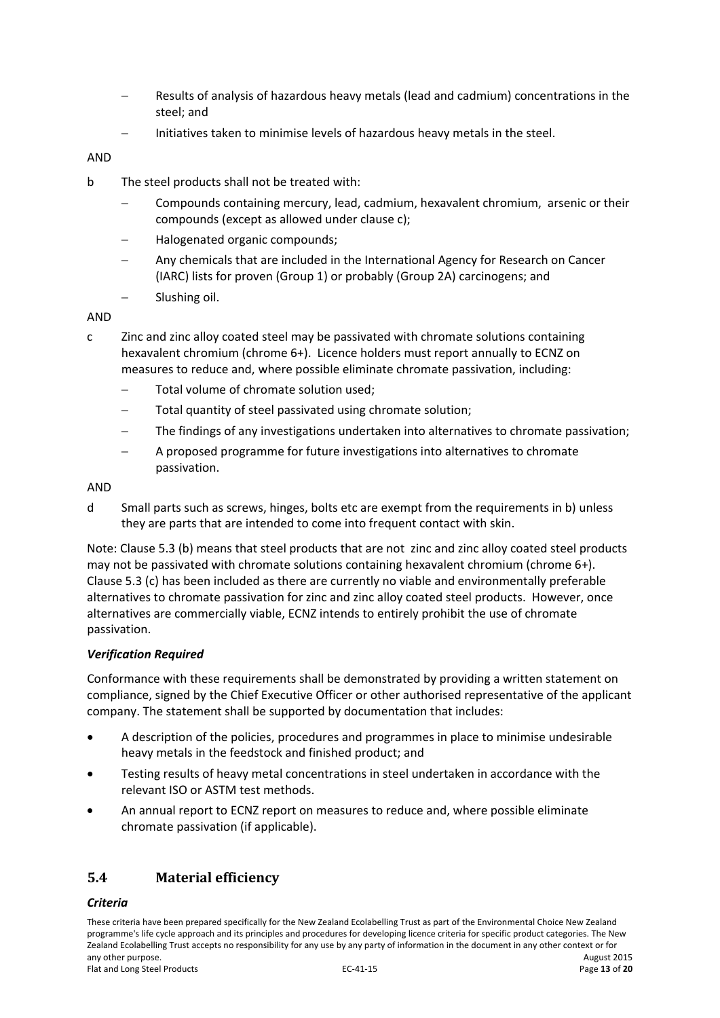- Results of analysis of hazardous heavy metals (lead and cadmium) concentrations in the steel; and
- Initiatives taken to minimise levels of hazardous heavy metals in the steel.

#### AND

- b The steel products shall not be treated with:
	- Compounds containing mercury, lead, cadmium, hexavalent chromium, arsenic or their compounds (except as allowed under clause c);
	- Halogenated organic compounds;
	- Any chemicals that are included in the International Agency for Research on Cancer (IARC) lists for proven (Group 1) or probably (Group 2A) carcinogens; and
	- Slushing oil.

#### AND

- c Zinc and zinc alloy coated steel may be passivated with chromate solutions containing hexavalent chromium (chrome 6+). Licence holders must report annually to ECNZ on measures to reduce and, where possible eliminate chromate passivation, including:
	- Total volume of chromate solution used;
	- Total quantity of steel passivated using chromate solution;
	- The findings of any investigations undertaken into alternatives to chromate passivation;
	- A proposed programme for future investigations into alternatives to chromate passivation.

#### AND

d Small parts such as screws, hinges, bolts etc are exempt from the requirements in b) unless they are parts that are intended to come into frequent contact with skin.

Note: Clause 5.3 (b) means that steel products that are not zinc and zinc alloy coated steel products may not be passivated with chromate solutions containing hexavalent chromium (chrome 6+). Clause 5.3 (c) has been included as there are currently no viable and environmentally preferable alternatives to chromate passivation for zinc and zinc alloy coated steel products. However, once alternatives are commercially viable, ECNZ intends to entirely prohibit the use of chromate passivation.

#### *Verification Required*

Conformance with these requirements shall be demonstrated by providing a written statement on compliance, signed by the Chief Executive Officer or other authorised representative of the applicant company. The statement shall be supported by documentation that includes:

- A description of the policies, procedures and programmes in place to minimise undesirable heavy metals in the feedstock and finished product; and
- Testing results of heavy metal concentrations in steel undertaken in accordance with the relevant ISO or ASTM test methods.
- An annual report to ECNZ report on measures to reduce and, where possible eliminate chromate passivation (if applicable).

# **5.4 Material efficiency**

#### *Criteria*

These criteria have been prepared specifically for the New Zealand Ecolabelling Trust as part of the Environmental Choice New Zealand programme's life cycle approach and its principles and procedures for developing licence criteria for specific product categories. The New Zealand Ecolabelling Trust accepts no responsibility for any use by any party of information in the document in any other context or for any other purpose. August 2015 **August 2015 August 2015** Flat and Long Steel Products EC‐41‐15 Page **13** of **20**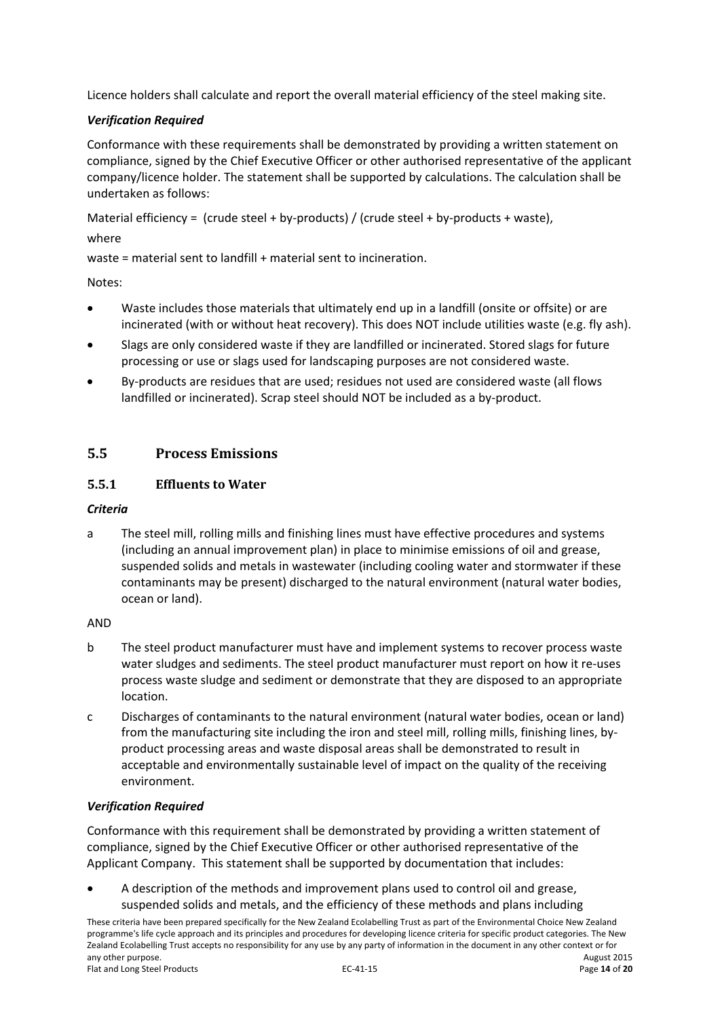Licence holders shall calculate and report the overall material efficiency of the steel making site.

## *Verification Required*

Conformance with these requirements shall be demonstrated by providing a written statement on compliance, signed by the Chief Executive Officer or other authorised representative of the applicant company/licence holder. The statement shall be supported by calculations. The calculation shall be undertaken as follows:

Material efficiency = (crude steel + by-products) / (crude steel + by-products + waste), where

waste = material sent to landfill + material sent to incineration.

Notes:

- Waste includes those materials that ultimately end up in a landfill (onsite or offsite) or are incinerated (with or without heat recovery). This does NOT include utilities waste (e.g. fly ash).
- Slags are only considered waste if they are landfilled or incinerated. Stored slags for future processing or use or slags used for landscaping purposes are not considered waste.
- By‐products are residues that are used; residues not used are considered waste (all flows landfilled or incinerated). Scrap steel should NOT be included as a by‐product.

## **5.5 Process Emissions**

### **5.5.1 Effluents to Water**

#### *Criteria*

a The steel mill, rolling mills and finishing lines must have effective procedures and systems (including an annual improvement plan) in place to minimise emissions of oil and grease, suspended solids and metals in wastewater (including cooling water and stormwater if these contaminants may be present) discharged to the natural environment (natural water bodies, ocean or land).

### AND

- b The steel product manufacturer must have and implement systems to recover process waste water sludges and sediments. The steel product manufacturer must report on how it re-uses process waste sludge and sediment or demonstrate that they are disposed to an appropriate location.
- c Discharges of contaminants to the natural environment (natural water bodies, ocean or land) from the manufacturing site including the iron and steel mill, rolling mills, finishing lines, by‐ product processing areas and waste disposal areas shall be demonstrated to result in acceptable and environmentally sustainable level of impact on the quality of the receiving environment.

### *Verification Required*

Conformance with this requirement shall be demonstrated by providing a written statement of compliance, signed by the Chief Executive Officer or other authorised representative of the Applicant Company. This statement shall be supported by documentation that includes:

 A description of the methods and improvement plans used to control oil and grease, suspended solids and metals, and the efficiency of these methods and plans including

These criteria have been prepared specifically for the New Zealand Ecolabelling Trust as part of the Environmental Choice New Zealand programme's life cycle approach and its principles and procedures for developing licence criteria for specific product categories. The New Zealand Ecolabelling Trust accepts no responsibility for any use by any party of information in the document in any other context or for any other purpose. August 2015 Flat and Long Steel Products EC‐41‐15 Page **14** of **20**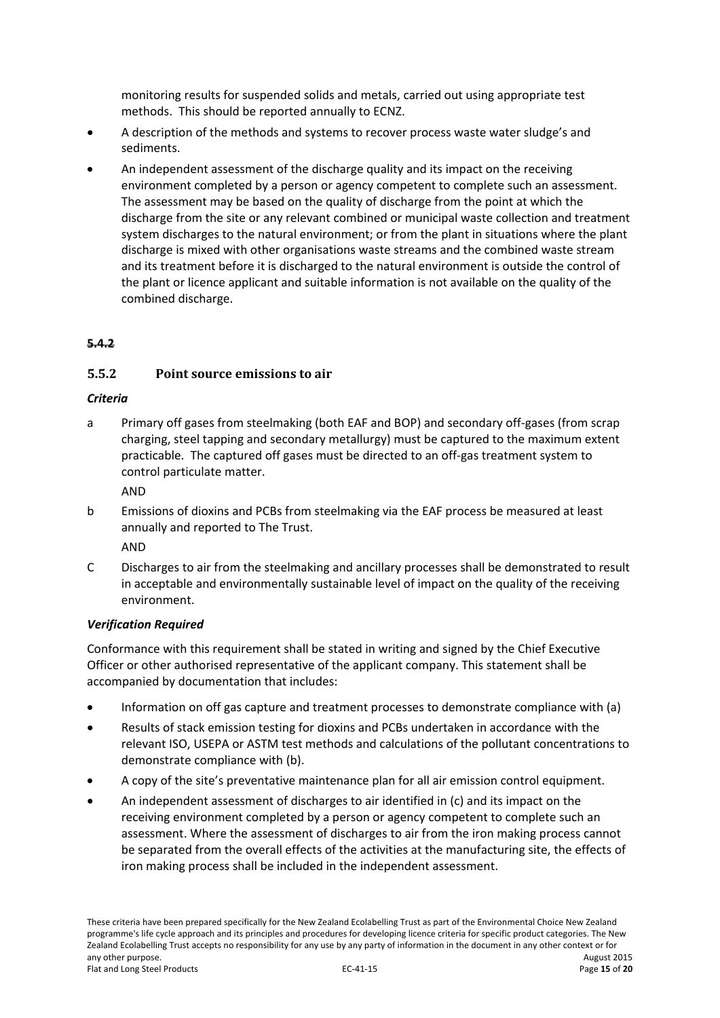monitoring results for suspended solids and metals, carried out using appropriate test methods. This should be reported annually to ECNZ.

- A description of the methods and systems to recover process waste water sludge's and sediments.
- An independent assessment of the discharge quality and its impact on the receiving environment completed by a person or agency competent to complete such an assessment. The assessment may be based on the quality of discharge from the point at which the discharge from the site or any relevant combined or municipal waste collection and treatment system discharges to the natural environment; or from the plant in situations where the plant discharge is mixed with other organisations waste streams and the combined waste stream and its treatment before it is discharged to the natural environment is outside the control of the plant or licence applicant and suitable information is not available on the quality of the combined discharge.

## **5.4.2**

### **5.5.2 Point source emissions to air**

#### *Criteria*

a Primary off gases from steelmaking (both EAF and BOP) and secondary off‐gases (from scrap charging, steel tapping and secondary metallurgy) must be captured to the maximum extent practicable. The captured off gases must be directed to an off‐gas treatment system to control particulate matter.

AND

b Emissions of dioxins and PCBs from steelmaking via the EAF process be measured at least annually and reported to The Trust.

AND

C Discharges to air from the steelmaking and ancillary processes shall be demonstrated to result in acceptable and environmentally sustainable level of impact on the quality of the receiving environment.

### *Verification Required*

Conformance with this requirement shall be stated in writing and signed by the Chief Executive Officer or other authorised representative of the applicant company. This statement shall be accompanied by documentation that includes:

- Information on off gas capture and treatment processes to demonstrate compliance with (a)
- Results of stack emission testing for dioxins and PCBs undertaken in accordance with the relevant ISO, USEPA or ASTM test methods and calculations of the pollutant concentrations to demonstrate compliance with (b).
- A copy of the site's preventative maintenance plan for all air emission control equipment.
- An independent assessment of discharges to air identified in (c) and its impact on the receiving environment completed by a person or agency competent to complete such an assessment. Where the assessment of discharges to air from the iron making process cannot be separated from the overall effects of the activities at the manufacturing site, the effects of iron making process shall be included in the independent assessment.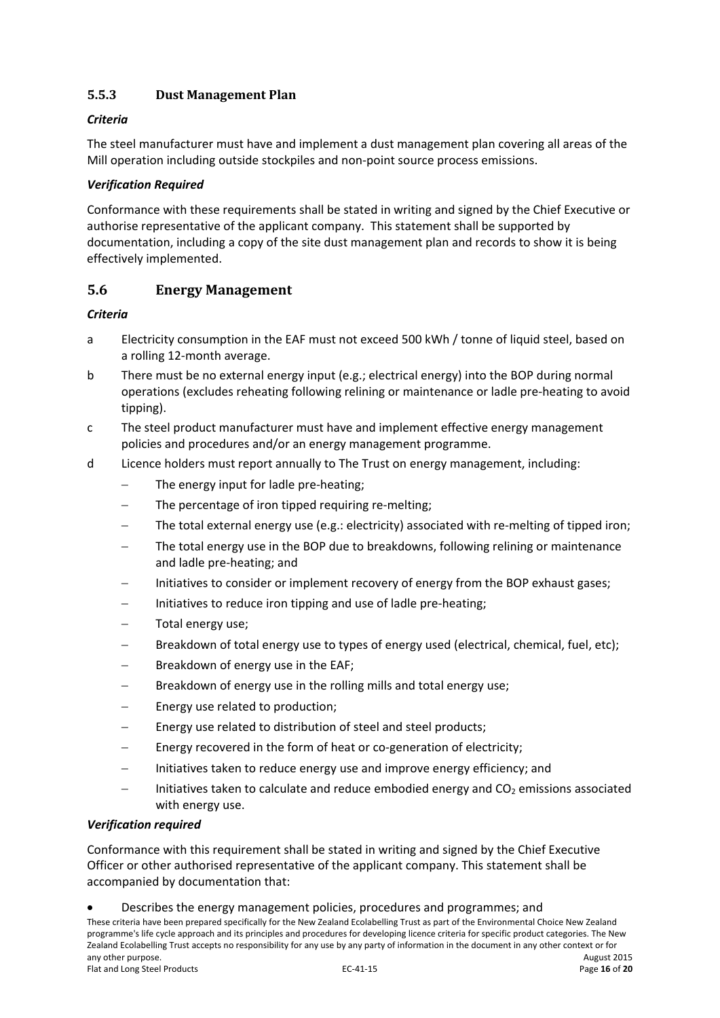# **5.5.3 Dust Management Plan**

## *Criteria*

The steel manufacturer must have and implement a dust management plan covering all areas of the Mill operation including outside stockpiles and non‐point source process emissions.

#### *Verification Required*

Conformance with these requirements shall be stated in writing and signed by the Chief Executive or authorise representative of the applicant company. This statement shall be supported by documentation, including a copy of the site dust management plan and records to show it is being effectively implemented.

### **5.6 Energy Management**

### *Criteria*

- a Electricity consumption in the EAF must not exceed 500 kWh / tonne of liquid steel, based on a rolling 12‐month average.
- b There must be no external energy input (e.g.; electrical energy) into the BOP during normal operations (excludes reheating following relining or maintenance or ladle pre‐heating to avoid tipping).
- c The steel product manufacturer must have and implement effective energy management policies and procedures and/or an energy management programme.
- d Licence holders must report annually to The Trust on energy management, including:
	- The energy input for ladle pre-heating;
	- The percentage of iron tipped requiring re-melting;
	- The total external energy use (e.g.: electricity) associated with re-melting of tipped iron;
	- The total energy use in the BOP due to breakdowns, following relining or maintenance and ladle pre‐heating; and
	- Initiatives to consider or implement recovery of energy from the BOP exhaust gases;
	- Initiatives to reduce iron tipping and use of ladle pre‐heating;
	- Total energy use;
	- Breakdown of total energy use to types of energy used (electrical, chemical, fuel, etc);
	- Breakdown of energy use in the EAF;
	- Breakdown of energy use in the rolling mills and total energy use;
	- Energy use related to production;
	- Energy use related to distribution of steel and steel products;
	- Energy recovered in the form of heat or co-generation of electricity;
	- Initiatives taken to reduce energy use and improve energy efficiency; and
	- Initiatives taken to calculate and reduce embodied energy and  $CO<sub>2</sub>$  emissions associated with energy use.

#### *Verification required*

Conformance with this requirement shall be stated in writing and signed by the Chief Executive Officer or other authorised representative of the applicant company. This statement shall be accompanied by documentation that:

Describes the energy management policies, procedures and programmes; and

These criteria have been prepared specifically for the New Zealand Ecolabelling Trust as part of the Environmental Choice New Zealand programme's life cycle approach and its principles and procedures for developing licence criteria for specific product categories. The New Zealand Ecolabelling Trust accepts no responsibility for any use by any party of information in the document in any other context or for any other purpose. August 2015 **August 2015 August 2015** Flat and Long Steel Products EC‐41‐15 Page **16** of **20**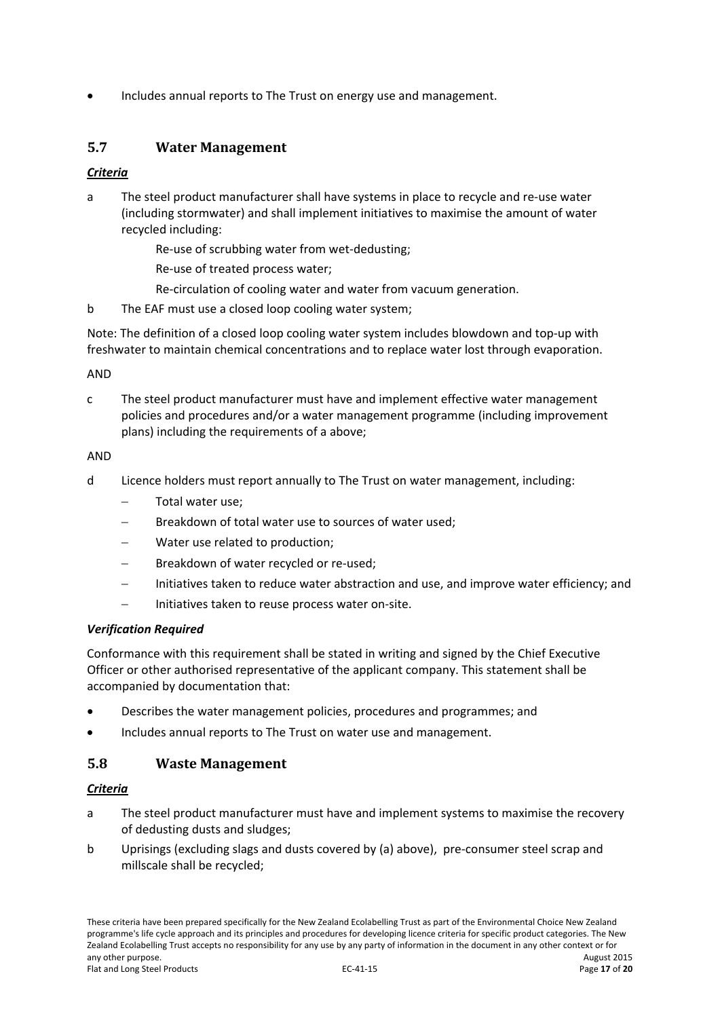Includes annual reports to The Trust on energy use and management.

# **5.7 Water Management**

## *Criteria*

- a The steel product manufacturer shall have systems in place to recycle and re‐use water (including stormwater) and shall implement initiatives to maximise the amount of water recycled including:
	- Re‐use of scrubbing water from wet‐dedusting;
	- Re‐use of treated process water;
	- Re‐circulation of cooling water and water from vacuum generation.
- b The EAF must use a closed loop cooling water system;

Note: The definition of a closed loop cooling water system includes blowdown and top‐up with freshwater to maintain chemical concentrations and to replace water lost through evaporation.

AND

c The steel product manufacturer must have and implement effective water management policies and procedures and/or a water management programme (including improvement plans) including the requirements of a above;

#### AND

- d Licence holders must report annually to The Trust on water management, including:
	- Total water use;
	- Breakdown of total water use to sources of water used;
	- Water use related to production;
	- Breakdown of water recycled or re‐used;
	- Initiatives taken to reduce water abstraction and use, and improve water efficiency; and
	- Initiatives taken to reuse process water on‐site.

### *Verification Required*

Conformance with this requirement shall be stated in writing and signed by the Chief Executive Officer or other authorised representative of the applicant company. This statement shall be accompanied by documentation that:

- Describes the water management policies, procedures and programmes; and
- Includes annual reports to The Trust on water use and management.

# **5.8 Waste Management**

### *Criteria*

- a The steel product manufacturer must have and implement systems to maximise the recovery of dedusting dusts and sludges;
- b Uprisings (excluding slags and dusts covered by (a) above), pre‐consumer steel scrap and millscale shall be recycled;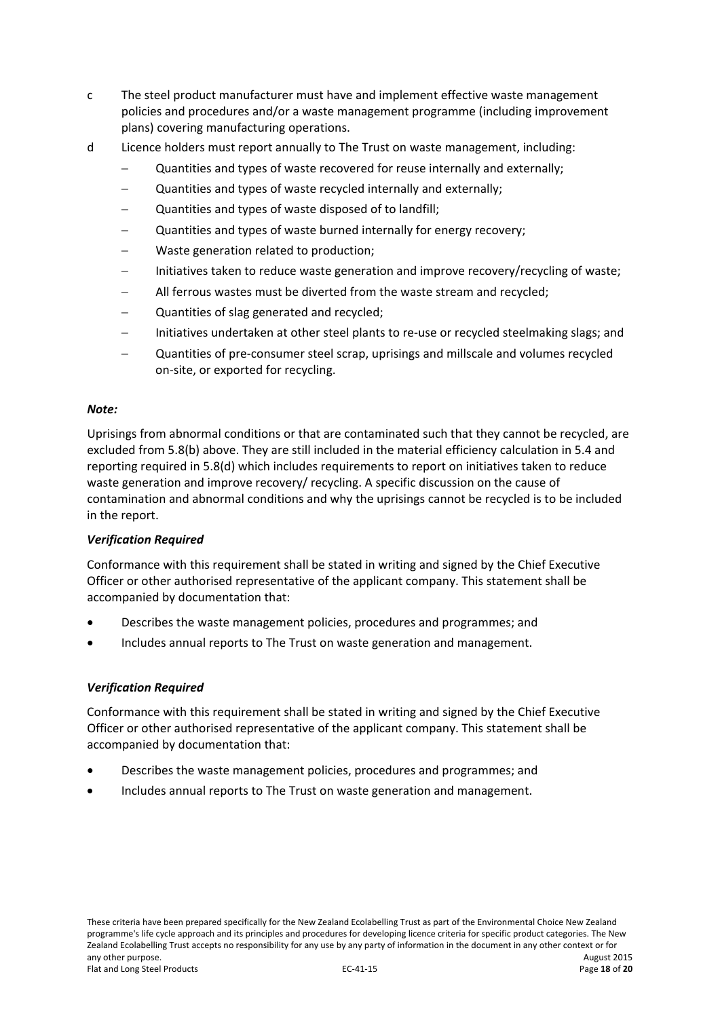- c The steel product manufacturer must have and implement effective waste management policies and procedures and/or a waste management programme (including improvement plans) covering manufacturing operations.
- d Licence holders must report annually to The Trust on waste management, including:
	- Quantities and types of waste recovered for reuse internally and externally;
	- Quantities and types of waste recycled internally and externally;
	- Quantities and types of waste disposed of to landfill;
	- Quantities and types of waste burned internally for energy recovery;
	- Waste generation related to production;
	- Initiatives taken to reduce waste generation and improve recovery/recycling of waste;
	- All ferrous wastes must be diverted from the waste stream and recycled;
	- Quantities of slag generated and recycled;
	- Initiatives undertaken at other steel plants to re‐use or recycled steelmaking slags; and
	- Quantities of pre‐consumer steel scrap, uprisings and millscale and volumes recycled on‐site, or exported for recycling.

#### *Note:*

Uprisings from abnormal conditions or that are contaminated such that they cannot be recycled, are excluded from 5.8(b) above. They are still included in the material efficiency calculation in 5.4 and reporting required in 5.8(d) which includes requirements to report on initiatives taken to reduce waste generation and improve recovery/ recycling. A specific discussion on the cause of contamination and abnormal conditions and why the uprisings cannot be recycled is to be included in the report.

#### *Verification Required*

Conformance with this requirement shall be stated in writing and signed by the Chief Executive Officer or other authorised representative of the applicant company. This statement shall be accompanied by documentation that:

- Describes the waste management policies, procedures and programmes; and
- Includes annual reports to The Trust on waste generation and management.

#### *Verification Required*

Conformance with this requirement shall be stated in writing and signed by the Chief Executive Officer or other authorised representative of the applicant company. This statement shall be accompanied by documentation that:

- Describes the waste management policies, procedures and programmes; and
- Includes annual reports to The Trust on waste generation and management.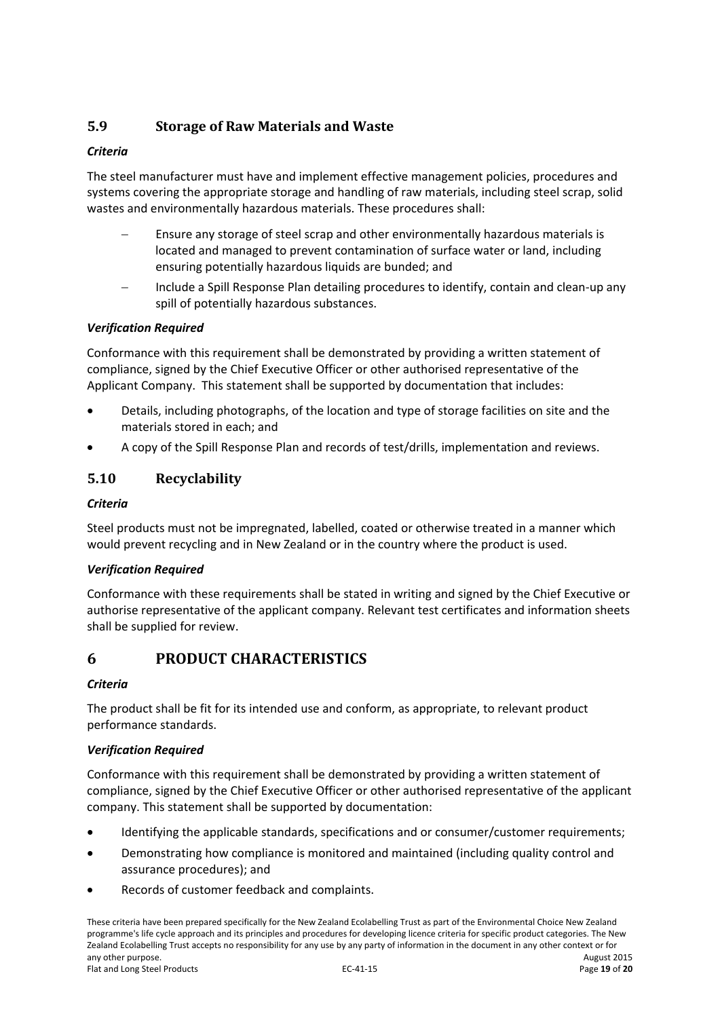# **5.9 Storage of Raw Materials and Waste**

## *Criteria*

The steel manufacturer must have and implement effective management policies, procedures and systems covering the appropriate storage and handling of raw materials, including steel scrap, solid wastes and environmentally hazardous materials. These procedures shall:

- Ensure any storage of steel scrap and other environmentally hazardous materials is located and managed to prevent contamination of surface water or land, including ensuring potentially hazardous liquids are bunded; and
- Include a Spill Response Plan detailing procedures to identify, contain and clean‐up any spill of potentially hazardous substances.

### *Verification Required*

Conformance with this requirement shall be demonstrated by providing a written statement of compliance, signed by the Chief Executive Officer or other authorised representative of the Applicant Company. This statement shall be supported by documentation that includes:

- Details, including photographs, of the location and type of storage facilities on site and the materials stored in each; and
- A copy of the Spill Response Plan and records of test/drills, implementation and reviews.

# **5.10 Recyclability**

## *Criteria*

Steel products must not be impregnated, labelled, coated or otherwise treated in a manner which would prevent recycling and in New Zealand or in the country where the product is used.

### *Verification Required*

Conformance with these requirements shall be stated in writing and signed by the Chief Executive or authorise representative of the applicant company. Relevant test certificates and information sheets shall be supplied for review.

# **6 PRODUCT CHARACTERISTICS**

### *Criteria*

The product shall be fit for its intended use and conform, as appropriate, to relevant product performance standards.

### *Verification Required*

Conformance with this requirement shall be demonstrated by providing a written statement of compliance, signed by the Chief Executive Officer or other authorised representative of the applicant company. This statement shall be supported by documentation:

- Identifying the applicable standards, specifications and or consumer/customer requirements;
- Demonstrating how compliance is monitored and maintained (including quality control and assurance procedures); and
- Records of customer feedback and complaints.